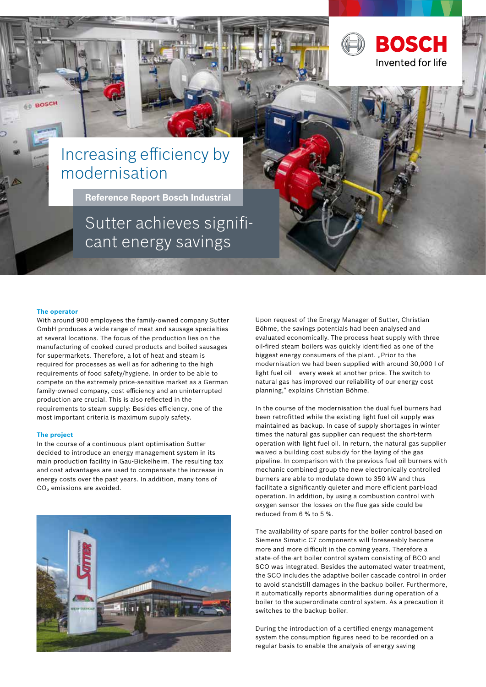

**Reference Report Bosch Industrial** 

Sutter achieves significant energy savings

### **The operator**

**BOSCH** 

With around 900 employees the family-owned company Sutter GmbH produces a wide range of meat and sausage specialties at several locations. The focus of the production lies on the manufacturing of cooked cured products and boiled sausages for supermarkets. Therefore, a lot of heat and steam is required for processes as well as for adhering to the high requirements of food safety/hygiene. In order to be able to compete on the extremely price-sensitive market as a German family-owned company, cost efficiency and an uninterrupted production are crucial. This is also reflected in the requirements to steam supply: Besides efficiency, one of the most important criteria is maximum supply safety.

### **The project**

In the course of a continuous plant optimisation Sutter decided to introduce an energy management system in its main production facility in Gau-Bickelheim. The resulting tax and cost advantages are used to compensate the increase in energy costs over the past years. In addition, many tons of CO<sub>2</sub> emissions are avoided.



Upon request of the Energy Manager of Sutter, Christian Böhme, the savings potentials had been analysed and evaluated economically. The process heat supply with three oil-fired steam boilers was quickly identified as one of the biggest energy consumers of the plant. "Prior to the modernisation we had been supplied with around 30,000 l of light fuel oil – every week at another price. The switch to natural gas has improved our reliability of our energy cost planning," explains Christian Böhme.

**BOSCH** 

Invented for life

In the course of the modernisation the dual fuel burners had been retrofitted while the existing light fuel oil supply was maintained as backup. In case of supply shortages in winter times the natural gas supplier can request the short-term operation with light fuel oil. In return, the natural gas supplier waived a building cost subsidy for the laying of the gas pipeline. In comparison with the previous fuel oil burners with mechanic combined group the new electronically controlled burners are able to modulate down to 350 kW and thus facilitate a significantly quieter and more efficient part-load operation. In addition, by using a combustion control with oxygen sensor the losses on the flue gas side could be reduced from 6 % to 5 %.

The availability of spare parts for the boiler control based on Siemens Simatic C7 components will foreseeably become more and more difficult in the coming years. Therefore a state-of-the-art boiler control system consisting of BCO and SCO was integrated. Besides the automated water treatment, the SCO includes the adaptive boiler cascade control in order to avoid standstill damages in the backup boiler. Furthermore, it automatically reports abnormalities during operation of a boiler to the superordinate control system. As a precaution it switches to the backup boiler.

During the introduction of a certified energy management system the consumption figures need to be recorded on a regular basis to enable the analysis of energy saving